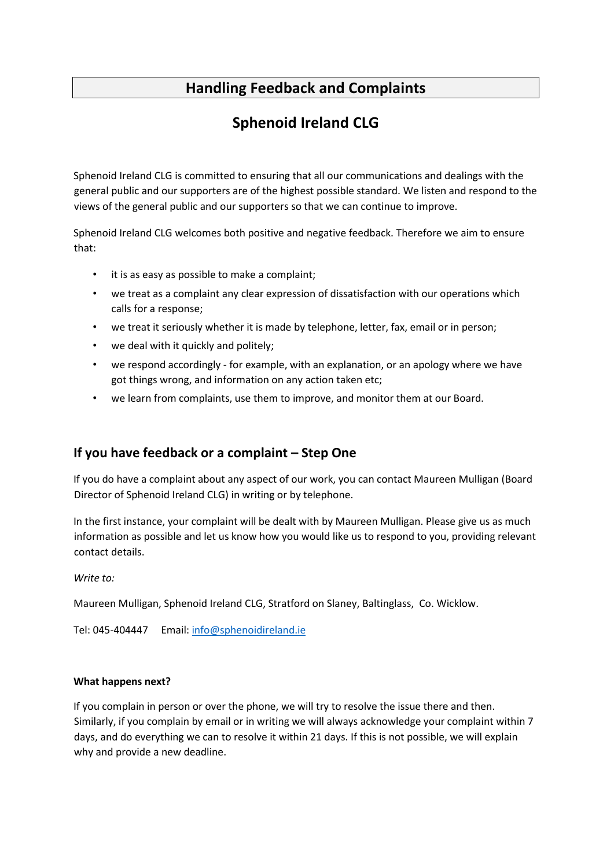## **Handling Feedback and Complaints**

# **Sphenoid Ireland CLG**

Sphenoid Ireland CLG is committed to ensuring that all our communications and dealings with the general public and our supporters are of the highest possible standard. We listen and respond to the views of the general public and our supporters so that we can continue to improve.

Sphenoid Ireland CLG welcomes both positive and negative feedback. Therefore we aim to ensure that:

- it is as easy as possible to make a complaint;
- we treat as a complaint any clear expression of dissatisfaction with our operations which calls for a response;
- we treat it seriously whether it is made by telephone, letter, fax, email or in person;
- we deal with it quickly and politely;
- we respond accordingly for example, with an explanation, or an apology where we have got things wrong, and information on any action taken etc;
- we learn from complaints, use them to improve, and monitor them at our Board.

## **If you have feedback or a complaint – Step One**

If you do have a complaint about any aspect of our work, you can contact Maureen Mulligan (Board Director of Sphenoid Ireland CLG) in writing or by telephone.

In the first instance, your complaint will be dealt with by Maureen Mulligan. Please give us as much information as possible and let us know how you would like us to respond to you, providing relevant contact details.

*Write to:* 

Maureen Mulligan, Sphenoid Ireland CLG, Stratford on Slaney, Baltinglass, Co. Wicklow.

Tel: 045-404447 Email: info@sphenoidireland.ie

#### **What happens next?**

If you complain in person or over the phone, we will try to resolve the issue there and then. Similarly, if you complain by email or in writing we will always acknowledge your complaint within 7 days, and do everything we can to resolve it within 21 days. If this is not possible, we will explain why and provide a new deadline.